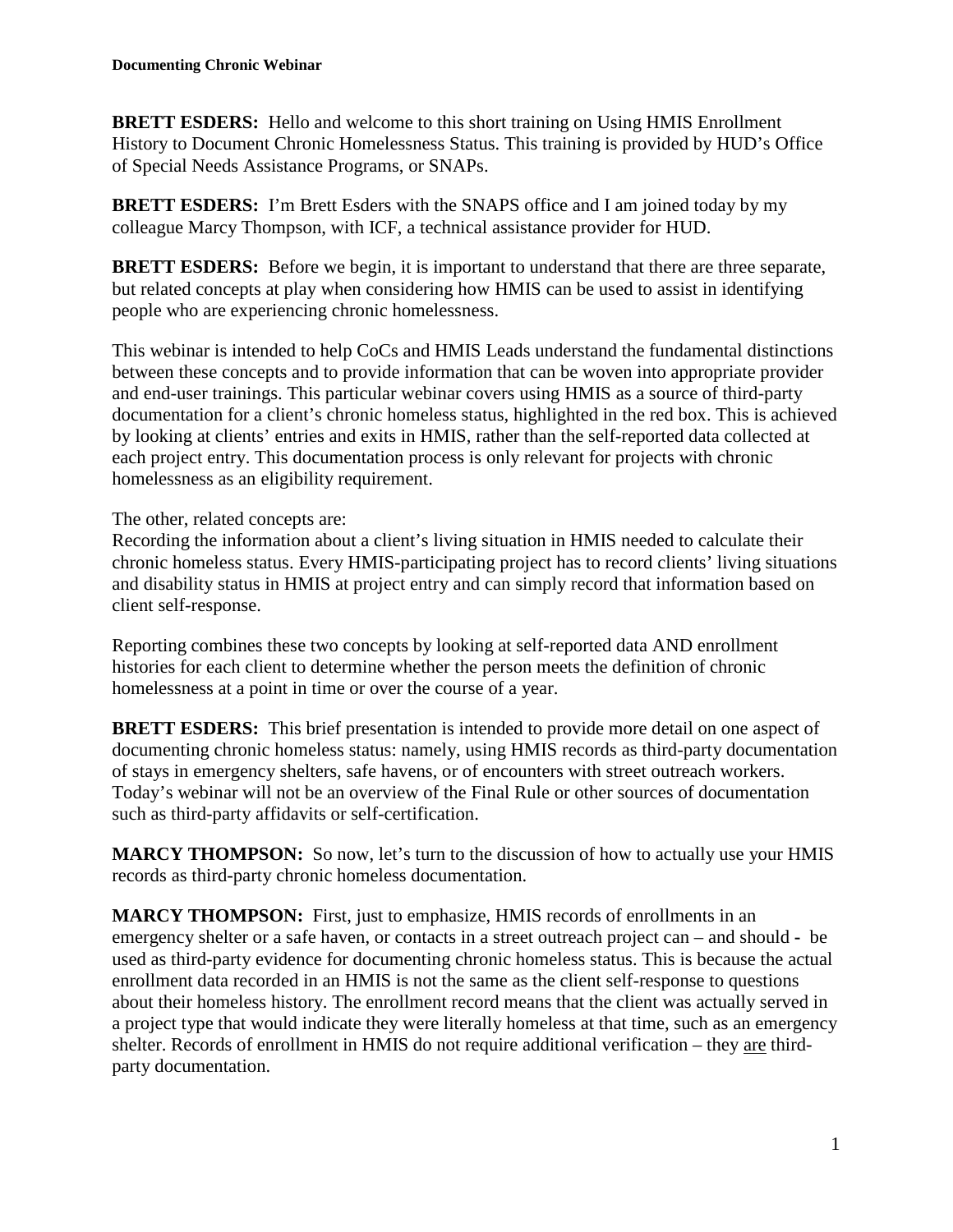**BRETT ESDERS:** Hello and welcome to this short training on Using HMIS Enrollment History to Document Chronic Homelessness Status. This training is provided by HUD's Office of Special Needs Assistance Programs, or SNAPs.

**BRETT ESDERS:** I'm Brett Esders with the SNAPS office and I am joined today by my colleague Marcy Thompson, with ICF, a technical assistance provider for HUD.

**BRETT ESDERS:** Before we begin, it is important to understand that there are three separate, but related concepts at play when considering how HMIS can be used to assist in identifying people who are experiencing chronic homelessness.

This webinar is intended to help CoCs and HMIS Leads understand the fundamental distinctions between these concepts and to provide information that can be woven into appropriate provider and end-user trainings. This particular webinar covers using HMIS as a source of third-party documentation for a client's chronic homeless status, highlighted in the red box. This is achieved by looking at clients' entries and exits in HMIS, rather than the self-reported data collected at each project entry. This documentation process is only relevant for projects with chronic homelessness as an eligibility requirement.

The other, related concepts are:

Recording the information about a client's living situation in HMIS needed to calculate their chronic homeless status. Every HMIS-participating project has to record clients' living situations and disability status in HMIS at project entry and can simply record that information based on client self-response.

Reporting combines these two concepts by looking at self-reported data AND enrollment histories for each client to determine whether the person meets the definition of chronic homelessness at a point in time or over the course of a year.

**BRETT ESDERS:** This brief presentation is intended to provide more detail on one aspect of documenting chronic homeless status: namely, using HMIS records as third-party documentation of stays in emergency shelters, safe havens, or of encounters with street outreach workers. Today's webinar will not be an overview of the Final Rule or other sources of documentation such as third-party affidavits or self-certification.

**MARCY THOMPSON:** So now, let's turn to the discussion of how to actually use your HMIS records as third-party chronic homeless documentation.

**MARCY THOMPSON:** First, just to emphasize, HMIS records of enrollments in an emergency shelter or a safe haven, or contacts in a street outreach project can – and should **-** be used as third-party evidence for documenting chronic homeless status. This is because the actual enrollment data recorded in an HMIS is not the same as the client self-response to questions about their homeless history. The enrollment record means that the client was actually served in a project type that would indicate they were literally homeless at that time, such as an emergency shelter. Records of enrollment in HMIS do not require additional verification – they are thirdparty documentation.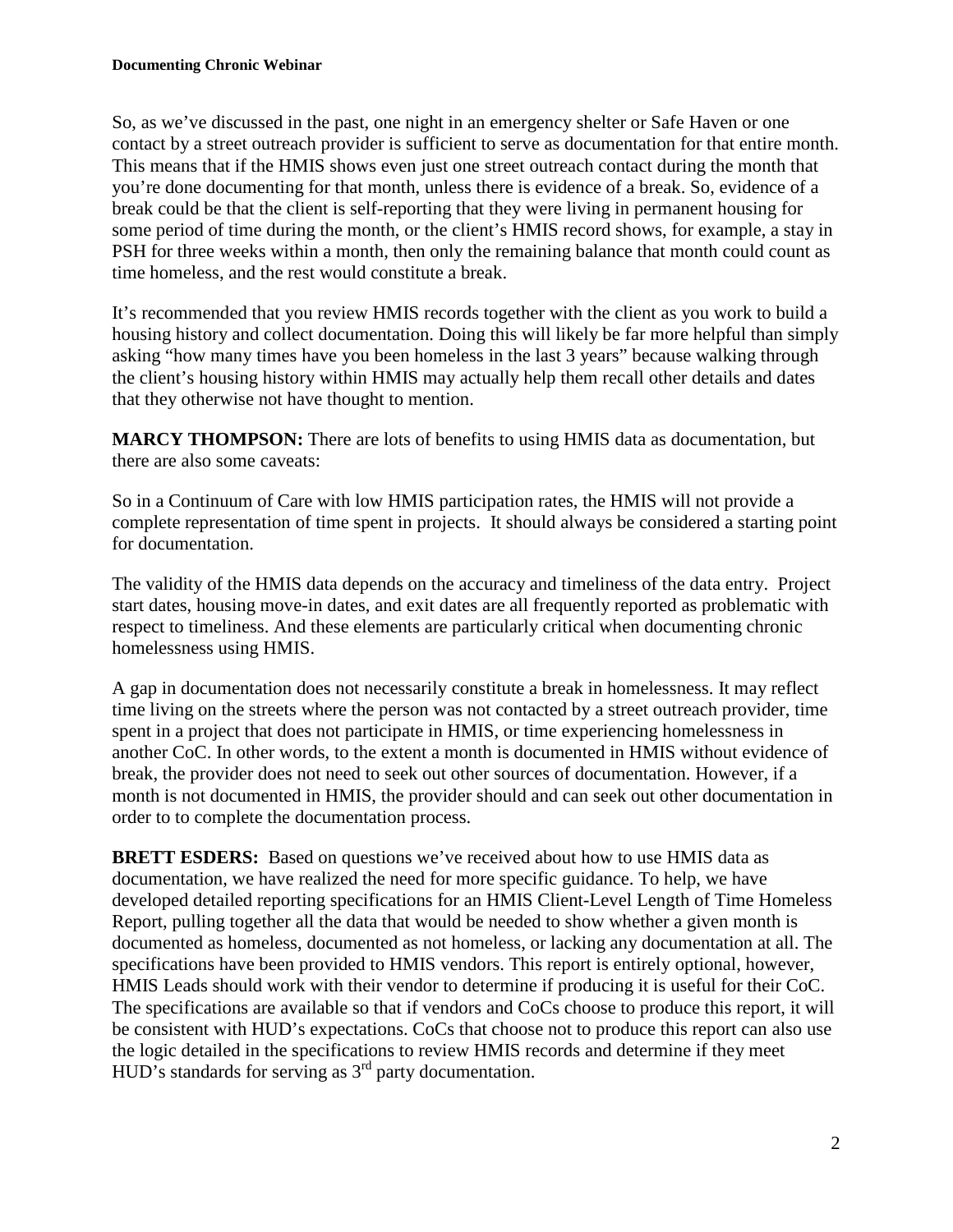So, as we've discussed in the past, one night in an emergency shelter or Safe Haven or one contact by a street outreach provider is sufficient to serve as documentation for that entire month. This means that if the HMIS shows even just one street outreach contact during the month that you're done documenting for that month, unless there is evidence of a break. So, evidence of a break could be that the client is self-reporting that they were living in permanent housing for some period of time during the month, or the client's HMIS record shows, for example, a stay in PSH for three weeks within a month, then only the remaining balance that month could count as time homeless, and the rest would constitute a break.

It's recommended that you review HMIS records together with the client as you work to build a housing history and collect documentation. Doing this will likely be far more helpful than simply asking "how many times have you been homeless in the last 3 years" because walking through the client's housing history within HMIS may actually help them recall other details and dates that they otherwise not have thought to mention.

**MARCY THOMPSON:** There are lots of benefits to using HMIS data as documentation, but there are also some caveats:

So in a Continuum of Care with low HMIS participation rates, the HMIS will not provide a complete representation of time spent in projects. It should always be considered a starting point for documentation.

The validity of the HMIS data depends on the accuracy and timeliness of the data entry. Project start dates, housing move-in dates, and exit dates are all frequently reported as problematic with respect to timeliness. And these elements are particularly critical when documenting chronic homelessness using HMIS.

A gap in documentation does not necessarily constitute a break in homelessness. It may reflect time living on the streets where the person was not contacted by a street outreach provider, time spent in a project that does not participate in HMIS, or time experiencing homelessness in another CoC. In other words, to the extent a month is documented in HMIS without evidence of break, the provider does not need to seek out other sources of documentation. However, if a month is not documented in HMIS, the provider should and can seek out other documentation in order to to complete the documentation process.

**BRETT ESDERS:** Based on questions we've received about how to use HMIS data as documentation, we have realized the need for more specific guidance. To help, we have developed detailed reporting specifications for an HMIS Client-Level Length of Time Homeless Report, pulling together all the data that would be needed to show whether a given month is documented as homeless, documented as not homeless, or lacking any documentation at all. The specifications have been provided to HMIS vendors. This report is entirely optional, however, HMIS Leads should work with their vendor to determine if producing it is useful for their CoC. The specifications are available so that if vendors and CoCs choose to produce this report, it will be consistent with HUD's expectations. CoCs that choose not to produce this report can also use the logic detailed in the specifications to review HMIS records and determine if they meet HUD's standards for serving as  $3<sup>rd</sup>$  party documentation.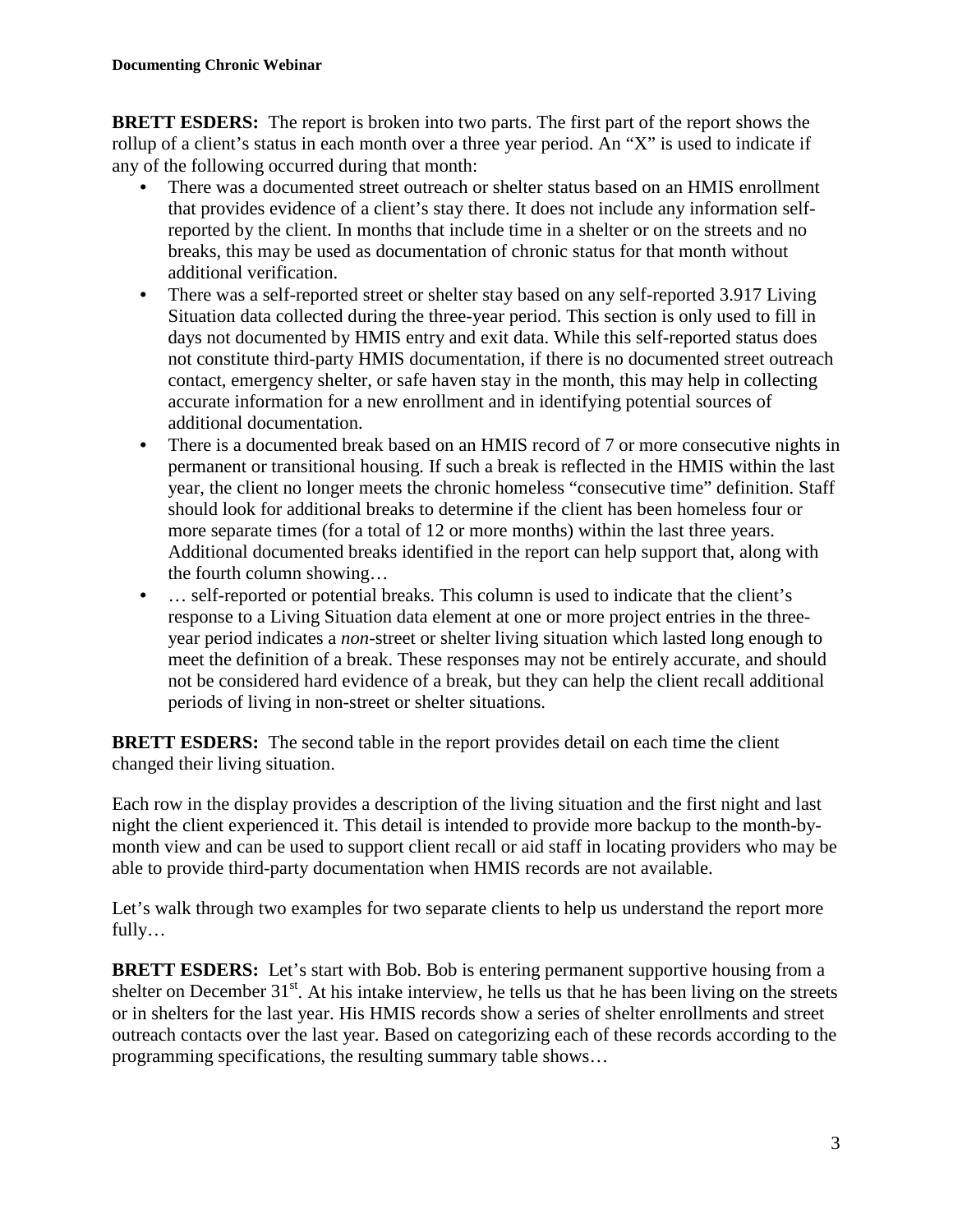**BRETT ESDERS:** The report is broken into two parts. The first part of the report shows the rollup of a client's status in each month over a three year period. An "X" is used to indicate if any of the following occurred during that month:

- There was a documented street outreach or shelter status based on an HMIS enrollment that provides evidence of a client's stay there. It does not include any information selfreported by the client. In months that include time in a shelter or on the streets and no breaks, this may be used as documentation of chronic status for that month without additional verification.
- There was a self-reported street or shelter stay based on any self-reported 3.917 Living Situation data collected during the three-year period. This section is only used to fill in days not documented by HMIS entry and exit data. While this self-reported status does not constitute third-party HMIS documentation, if there is no documented street outreach contact, emergency shelter, or safe haven stay in the month, this may help in collecting accurate information for a new enrollment and in identifying potential sources of additional documentation.
- There is a documented break based on an HMIS record of 7 or more consecutive nights in permanent or transitional housing. If such a break is reflected in the HMIS within the last year, the client no longer meets the chronic homeless "consecutive time" definition. Staff should look for additional breaks to determine if the client has been homeless four or more separate times (for a total of 12 or more months) within the last three years. Additional documented breaks identified in the report can help support that, along with the fourth column showing…
- ... self-reported or potential breaks. This column is used to indicate that the client's response to a Living Situation data element at one or more project entries in the threeyear period indicates a *non*-street or shelter living situation which lasted long enough to meet the definition of a break. These responses may not be entirely accurate, and should not be considered hard evidence of a break, but they can help the client recall additional periods of living in non-street or shelter situations.

**BRETT ESDERS:** The second table in the report provides detail on each time the client changed their living situation.

Each row in the display provides a description of the living situation and the first night and last night the client experienced it. This detail is intended to provide more backup to the month-bymonth view and can be used to support client recall or aid staff in locating providers who may be able to provide third-party documentation when HMIS records are not available.

Let's walk through two examples for two separate clients to help us understand the report more fully…

**BRETT ESDERS:** Let's start with Bob. Bob is entering permanent supportive housing from a shelter on December  $31<sup>st</sup>$ . At his intake interview, he tells us that he has been living on the streets or in shelters for the last year. His HMIS records show a series of shelter enrollments and street outreach contacts over the last year. Based on categorizing each of these records according to the programming specifications, the resulting summary table shows…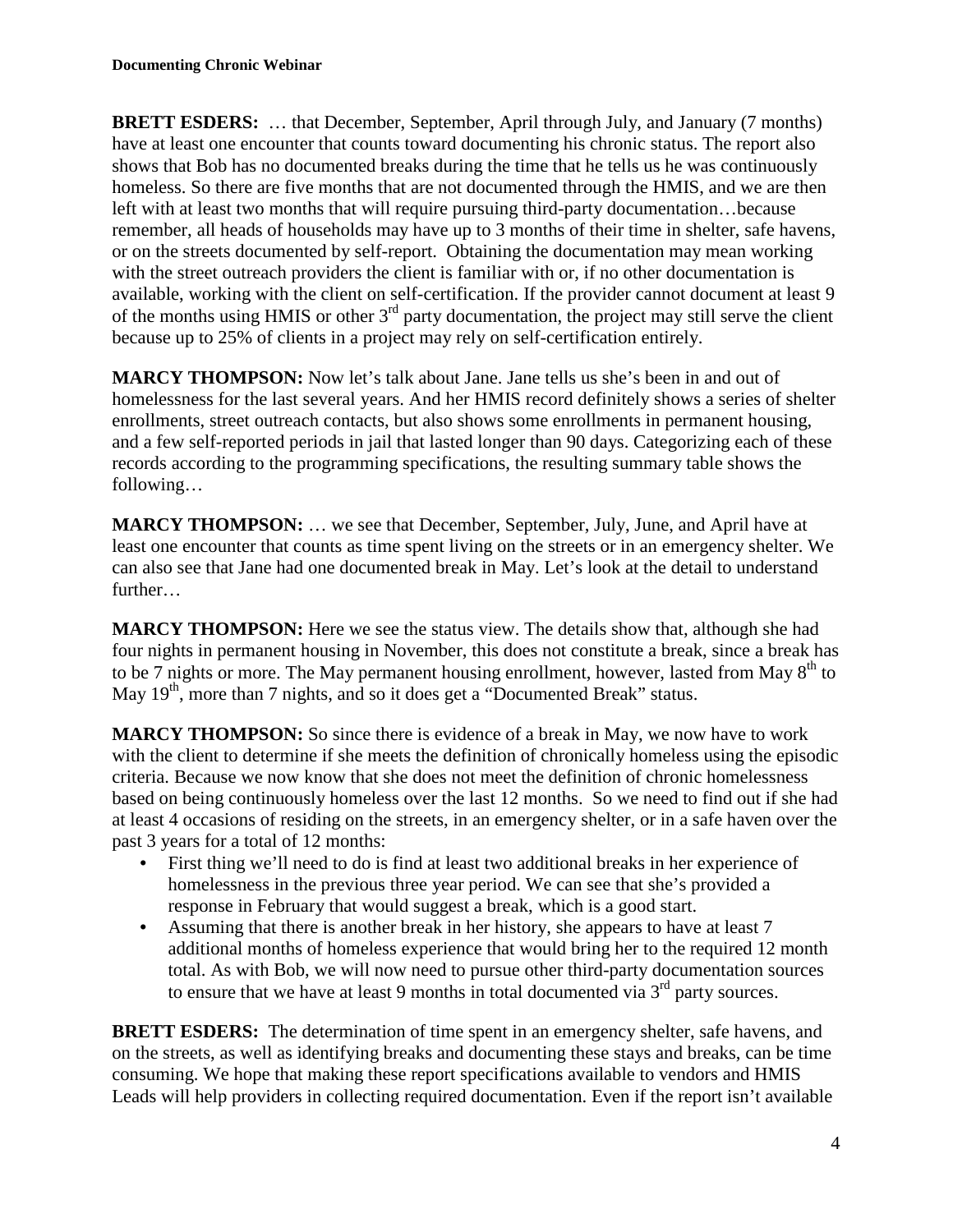**BRETT ESDERS:** ... that December, September, April through July, and January (7 months) have at least one encounter that counts toward documenting his chronic status. The report also shows that Bob has no documented breaks during the time that he tells us he was continuously homeless. So there are five months that are not documented through the HMIS, and we are then left with at least two months that will require pursuing third-party documentation…because remember, all heads of households may have up to 3 months of their time in shelter, safe havens, or on the streets documented by self-report. Obtaining the documentation may mean working with the street outreach providers the client is familiar with or, if no other documentation is available, working with the client on self-certification. If the provider cannot document at least 9 of the months using HMIS or other 3<sup>rd</sup> party documentation, the project may still serve the client because up to 25% of clients in a project may rely on self-certification entirely.

**MARCY THOMPSON:** Now let's talk about Jane. Jane tells us she's been in and out of homelessness for the last several years. And her HMIS record definitely shows a series of shelter enrollments, street outreach contacts, but also shows some enrollments in permanent housing, and a few self-reported periods in jail that lasted longer than 90 days. Categorizing each of these records according to the programming specifications, the resulting summary table shows the following…

**MARCY THOMPSON:** … we see that December, September, July, June, and April have at least one encounter that counts as time spent living on the streets or in an emergency shelter. We can also see that Jane had one documented break in May. Let's look at the detail to understand further…

**MARCY THOMPSON:** Here we see the status view. The details show that, although she had four nights in permanent housing in November, this does not constitute a break, since a break has to be 7 nights or more. The May permanent housing enrollment, however, lasted from May  $8<sup>th</sup>$  to May  $19<sup>th</sup>$ , more than 7 nights, and so it does get a "Documented Break" status.

**MARCY THOMPSON:** So since there is evidence of a break in May, we now have to work with the client to determine if she meets the definition of chronically homeless using the episodic criteria. Because we now know that she does not meet the definition of chronic homelessness based on being continuously homeless over the last 12 months. So we need to find out if she had at least 4 occasions of residing on the streets, in an emergency shelter, or in a safe haven over the past 3 years for a total of 12 months:

- First thing we'll need to do is find at least two additional breaks in her experience of homelessness in the previous three year period. We can see that she's provided a response in February that would suggest a break, which is a good start.
- Assuming that there is another break in her history, she appears to have at least 7 additional months of homeless experience that would bring her to the required 12 month total. As with Bob, we will now need to pursue other third-party documentation sources to ensure that we have at least 9 months in total documented via  $3<sup>rd</sup>$  party sources.

**BRETT ESDERS:** The determination of time spent in an emergency shelter, safe havens, and on the streets, as well as identifying breaks and documenting these stays and breaks, can be time consuming. We hope that making these report specifications available to vendors and HMIS Leads will help providers in collecting required documentation. Even if the report isn't available